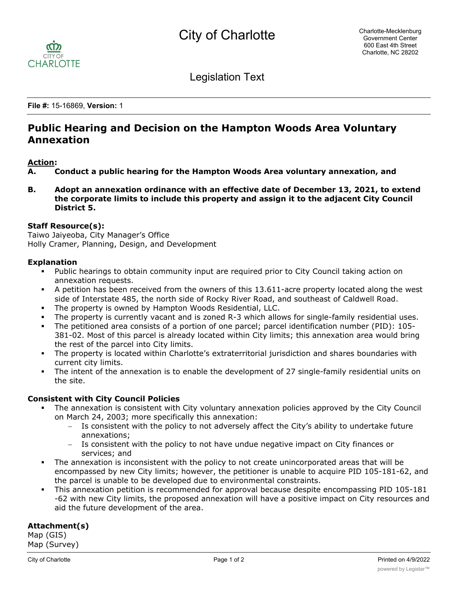

Legislation Text

**File #:** 15-16869, **Version:** 1

# **Public Hearing and Decision on the Hampton Woods Area Voluntary Annexation**

#### **Action:**

**A. Conduct a public hearing for the Hampton Woods Area voluntary annexation, and**

**B. Adopt an annexation ordinance with an effective date of December 13, 2021, to extend the corporate limits to include this property and assign it to the adjacent City Council District 5.**

#### **Staff Resource(s):**

Taiwo Jaiyeoba, City Manager's Office Holly Cramer, Planning, Design, and Development

#### **Explanation**

- Public hearings to obtain community input are required prior to City Council taking action on annexation requests.
- § A petition has been received from the owners of this 13.611-acre property located along the west side of Interstate 485, the north side of Rocky River Road, and southeast of Caldwell Road.
- The property is owned by Hampton Woods Residential, LLC.
- The property is currently vacant and is zoned R-3 which allows for single-family residential uses.
- The petitioned area consists of a portion of one parcel; parcel identification number (PID): 105-381-02. Most of this parcel is already located within City limits; this annexation area would bring the rest of the parcel into City limits.
- The property is located within Charlotte's extraterritorial jurisdiction and shares boundaries with current city limits.
- The intent of the annexation is to enable the development of 27 single-family residential units on the site.

### **Consistent with City Council Policies**

- The annexation is consistent with City voluntary annexation policies approved by the City Council on March 24, 2003; more specifically this annexation:
	- Is consistent with the policy to not adversely affect the City's ability to undertake future annexations;
	- Is consistent with the policy to not have undue negative impact on City finances or services; and
- The annexation is inconsistent with the policy to not create unincorporated areas that will be encompassed by new City limits; however, the petitioner is unable to acquire PID 105-181-62, and the parcel is unable to be developed due to environmental constraints.
- This annexation petition is recommended for approval because despite encompassing PID 105-181 -62 with new City limits, the proposed annexation will have a positive impact on City resources and aid the future development of the area.

## **Attachment(s)**

Map (GIS) Map (Survey)